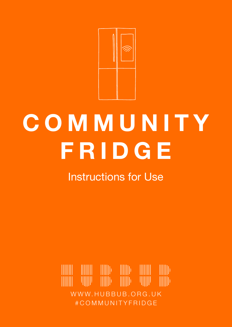

# **C O M M U N I T Y FRIDGE**

Instructions for Use

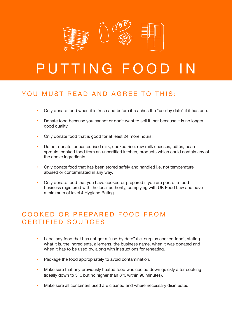

## PUTTING FOOD IN

#### YOU MUST READ AND AGREE TO THIS.

- Only donate food when it is fresh and before it reaches the "use-by date" if it has one.
- Donate food because you cannot or don't want to sell it, not because it is no longer good quality.
- Only donate food that is good for at least 24 more hours.
- Do not donate: unpasteurised milk, cooked rice, raw milk cheeses, pâtés, bean sprouts, cooked food from an uncertified kitchen, products which could contain any of the above ingredients.
- Only donate food that has been stored safely and handled i.e. not temperature abused or contaminated in any way.
- Only donate food that you have cooked or prepared if you are part of a food business registered with the local authority, complying with UK Food Law and have a minimum of level 4 Hygiene Rating.

#### COOKED OR PREPARED FOOD FROM CERTIFIED SOURCES

- Label any food that has not got a "use-by date" (i.e. surplus cooked food), stating what it is, the ingredients, allergens, the business name, when it was donated and when it has to be used by, along with instructions for reheating.
- Package the food appropriately to avoid contamination.
- Make sure that any previously heated food was cooled down quickly after cooking (ideally down to 5°C but no higher than 8°C within 90 minutes).
- Make sure all containers used are cleaned and where necessary disinfected.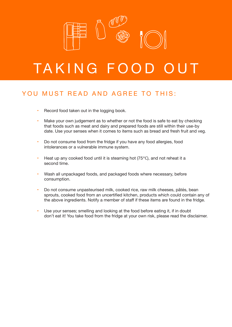

## TAKING FOOD OU

#### YOU MUST READ AND AGREE TO THIS:

- Record food taken out in the logging book.
- Make your own judgement as to whether or not the food is safe to eat by checking that foods such as meat and dairy and prepared foods are still within their use-by date. Use your senses when it comes to items such as bread and fresh fruit and veg.
- Do not consume food from the fridge if you have any food allergies, food intolerances or a vulnerable immune system.
- Heat up any cooked food until it is steaming hot  $(75\degree C)$ , and not reheat it a second time.
- Wash all unpackaged foods, and packaged foods where necessary, before consumption.
- • Do not consume unpasteurised milk, cooked rice, raw milk cheeses, pâtés, bean sprouts, cooked food from an uncertified kitchen, products which could contain any of the above ingredients. Notify a member of staff if these items are found in the fridge.
- Use your senses; smelling and looking at the food before eating it, if in doubt don't eat it! You take food from the fridge at your own risk, please read the disclaimer.